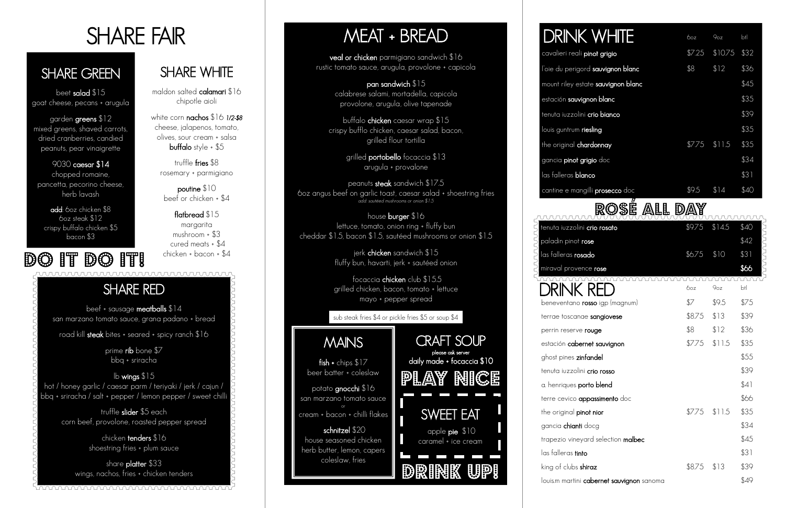# SHARE FAIR

### SHARE GREEN

beet salad \$15 goat cheese, pecans + arugula

garden greens \$12 mixed greens, shaved carrots, dried cranberries, candied peanuts, pear vinaigrette

9030 caesar \$14 chopped romaine, pancetta, pecorino cheese, herb lavash

flatbread \$15 margarita mushroom + \$3 cured meats + \$4 chicken + bacon + \$4  $\mathbb{D} \mathbb{G}$  if  $\mathbb{D} \mathbb{G}$  if  $\mathbb{F}$  ohicken + bacon +  $\mathbb{S}^4$ 

add: 6oz chicken \$8 6oz steak \$12 crispy buffalo chicken \$5 bacon \$3

## SHARE WHITE

maldon salted calamari \$16 chipotle aioli

white corn nachos \$16 *1/2-\$8* cheese, jalapenos, tomato, olives, sour cream + salsa buffalo style + \$5

truffle fries \$8 rosemary + parmigiano

poutine \$10 beef or chicken + \$4

## SHARE RED

beef + sausage meatballs \$14 san marzano tomato sauce, grana padano + bread

road kill steak bites + seared + spicy ranch \$16

prime rib bone \$7 bbq + sriracha

lb wings \$15 hot / honey garlic / caesar parm / teriyaki / jerk / cajun / bbq + sriracha / salt + pepper / lemon pepper / sweet chilli

fish + chips  $$17$ beer batter + coleslaw

truffle slider \$5 each corn beef, provolone, roasted pepper spread

> chicken tenders \$16 shoestring fries + plum sauce

share platter \$33 wings, nachos, fries + chicken tenders

<u> MAAAAAAAAAAAAAAAAAAAAAAAAAA</u>

## MEAT + BREAD

veal or chicken parmigiano sandwich \$16 rustic tomato sauce, arugula, provolone + capicola

> pan sandwich \$15 calabrese salami, mortadella, capicola provolone, arugula, olive tapenade

buffalo chicken caesar wrap \$15 crispy bufflo chicken, caesar salad, bacon, grilled flour tortilla

> grilled portobello focaccia \$13 arugula + provalone

peanuts steak sandwich \$17.5 6oz angus beef on garlic toast, caesar salad + shoestring fries *add: sautéed mushrooms or onion \$1.5*

house burger \$16 lettuce, tomato, onion ring + fluffy bun cheddar \$1.5, bacon \$1.5, sautéed mushrooms or onion \$1.5

> jerk chicken sandwich \$15 fluffy bun, havarti, jerk + sautéed onion

focaccia chicken club \$15.5 grilled chicken, bacon, tomato + lettuce mayo + pepper spread

## MAINS

potato gnocchi \$16 san marzano tomato sauce or cream + bacon + chilli flakes

schnitzel \$20 house seasoned chicken herb butter, lemon, capers coleslaw, fries

| K WHITE                       | 60z            | 9oz                    | $b$ tl |
|-------------------------------|----------------|------------------------|--------|
| ali pinot grigio              |                | $\sqrt{57.25}$ \$10.75 | \$32   |
| gord <b>sauvignon blanc</b>   | \$8            | \$12                   | \$36   |
| estate <b>sauvignon blanc</b> |                |                        | \$45   |
| vignon blanc                  |                |                        | \$35   |
| lini <b>crio bianco</b>       |                |                        | \$39   |
| n <b>riesling</b>             |                |                        | \$35   |
| chardonnay                    | $$7.75$ \$11.5 |                        | \$35   |
| t <b>grigio</b> doc           |                |                        | \$34   |
| olanco                        |                |                        | \$31   |
| angilli <b>prosecco</b> doc   | \$9.5          | \$14                   | \$40   |
|                               |                |                        |        |

|                                     | \$9.75 | \$14.5          | \$40            |
|-------------------------------------|--------|-----------------|-----------------|
| lini crio rosato                    |        |                 |                 |
| $\dagger$ rose                      |        |                 | \$42            |
| osado                               | \$6.75 | \$10            | LAAAAAA<br>\$31 |
| ence rose                           |        |                 | \$66            |
| ( K                                 | boz    | 9 <sub>oz</sub> | btl             |
| b <b>rosso</b> igp (magnum)         | \$7    | \$9.5           | \$75            |
| nae sangiovese                      | \$8.75 | \$13            | \$39            |
| e rouge                             | \$8    | \$12            | \$36            |
| ernet sauvignon                     | \$7.75 | \$11.5          | \$35            |
| zinfandel                           |        |                 | \$55            |
| lini <b>crio rosso</b>              |        |                 | \$39            |
| porto blend                         |        |                 | \$41            |
| appassimento doc                    |        |                 | \$66            |
| pinot nior                          | \$7.75 | \$11.5          | \$35            |
| nti docg                            |        |                 | \$34            |
| eyard selection <b>malbec</b>       |        |                 | \$45            |
| into                                |        |                 | \$31            |
| shiraz                              | \$8.75 | \$13            | \$39            |
| ni <b>cabernet sauvignon</b> sanoma |        |                 | \$49            |
|                                     |        |                 |                 |



terrae toscar perrin reserve estación cab ghost pines z tenuta iuzzol a. henriques terre cevico the original **p** gancia chian trapezio vine las falleras ti king of clubs louis.m martir



# DRIN

cavalieri re

l'oie du per mount riley estación **sa**u tenuta iuzzo louis guntru the origina gancia pino las falleras | cantine e m

unnnn tenuta iuzzo paladin pinc las falleras i miraval prov

#### sub steak fries \$4 or pickle fries \$5 or soup \$4

RosÉ all day